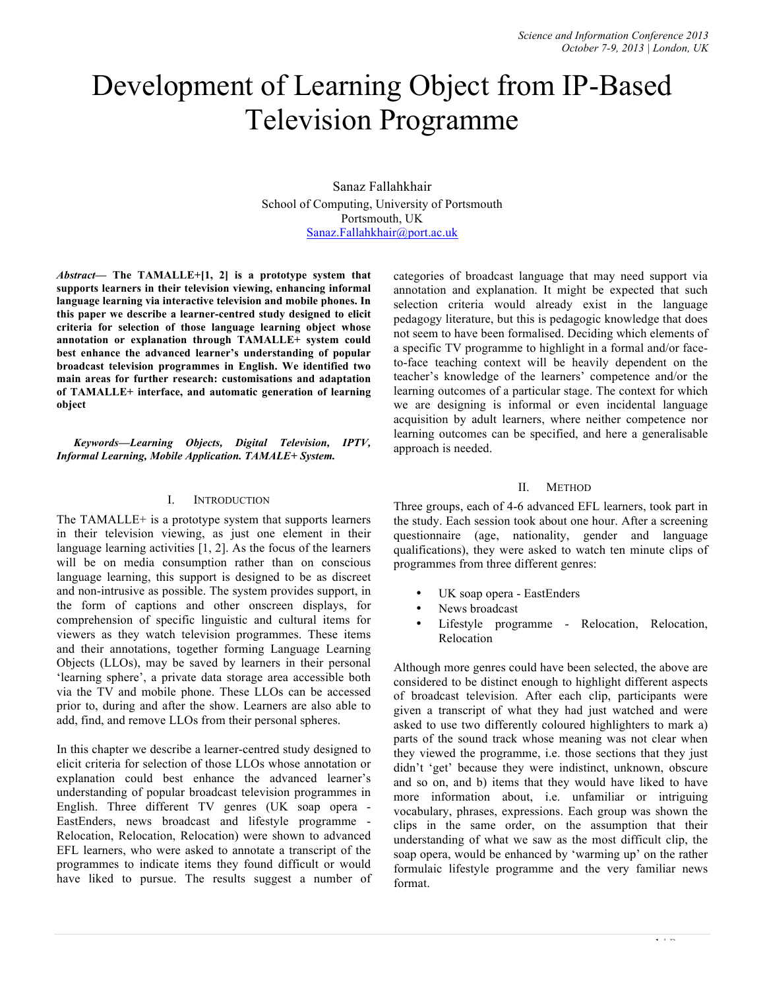# Development of Learning Object from IP-Based Television Programme

Sanaz Fallahkhair School of Computing, University of Portsmouth Portsmouth, UK Sanaz.Fallahkhair@port.ac.uk

*Abstract***— The TAMALLE+[1, 2] is a prototype system that supports learners in their television viewing, enhancing informal language learning via interactive television and mobile phones. In this paper we describe a learner-centred study designed to elicit criteria for selection of those language learning object whose annotation or explanation through TAMALLE+ system could best enhance the advanced learner's understanding of popular broadcast television programmes in English. We identified two main areas for further research: customisations and adaptation of TAMALLE+ interface, and automatic generation of learning object**

*Keywords—Learning Objects, Digital Television, IPTV, Informal Learning, Mobile Application. TAMALE+ System.*

#### I. INTRODUCTION

The TAMALLE+ is a prototype system that supports learners in their television viewing, as just one element in their language learning activities [1, 2]. As the focus of the learners will be on media consumption rather than on conscious language learning, this support is designed to be as discreet and non-intrusive as possible. The system provides support, in the form of captions and other onscreen displays, for comprehension of specific linguistic and cultural items for viewers as they watch television programmes. These items and their annotations, together forming Language Learning Objects (LLOs), may be saved by learners in their personal 'learning sphere', a private data storage area accessible both via the TV and mobile phone. These LLOs can be accessed prior to, during and after the show. Learners are also able to add, find, and remove LLOs from their personal spheres.

In this chapter we describe a learner-centred study designed to elicit criteria for selection of those LLOs whose annotation or explanation could best enhance the advanced learner's understanding of popular broadcast television programmes in English. Three different TV genres (UK soap opera - EastEnders, news broadcast and lifestyle programme - Relocation, Relocation, Relocation) were shown to advanced EFL learners, who were asked to annotate a transcript of the programmes to indicate items they found difficult or would have liked to pursue. The results suggest a number of categories of broadcast language that may need support via annotation and explanation. It might be expected that such selection criteria would already exist in the language pedagogy literature, but this is pedagogic knowledge that does not seem to have been formalised. Deciding which elements of a specific TV programme to highlight in a formal and/or faceto-face teaching context will be heavily dependent on the teacher's knowledge of the learners' competence and/or the learning outcomes of a particular stage. The context for which we are designing is informal or even incidental language acquisition by adult learners, where neither competence nor learning outcomes can be specified, and here a generalisable approach is needed.

#### II. METHOD

Three groups, each of 4-6 advanced EFL learners, took part in the study. Each session took about one hour. After a screening questionnaire (age, nationality, gender and language qualifications), they were asked to watch ten minute clips of programmes from three different genres:

- UK soap opera EastEnders
- News broadcast
- Lifestyle programme Relocation, Relocation, Relocation

Although more genres could have been selected, the above are considered to be distinct enough to highlight different aspects of broadcast television. After each clip, participants were given a transcript of what they had just watched and were asked to use two differently coloured highlighters to mark a) parts of the sound track whose meaning was not clear when they viewed the programme, i.e. those sections that they just didn't 'get' because they were indistinct, unknown, obscure and so on, and b) items that they would have liked to have more information about, i.e. unfamiliar or intriguing vocabulary, phrases, expressions. Each group was shown the clips in the same order, on the assumption that their understanding of what we saw as the most difficult clip, the soap opera, would be enhanced by 'warming up' on the rather formulaic lifestyle programme and the very familiar news format.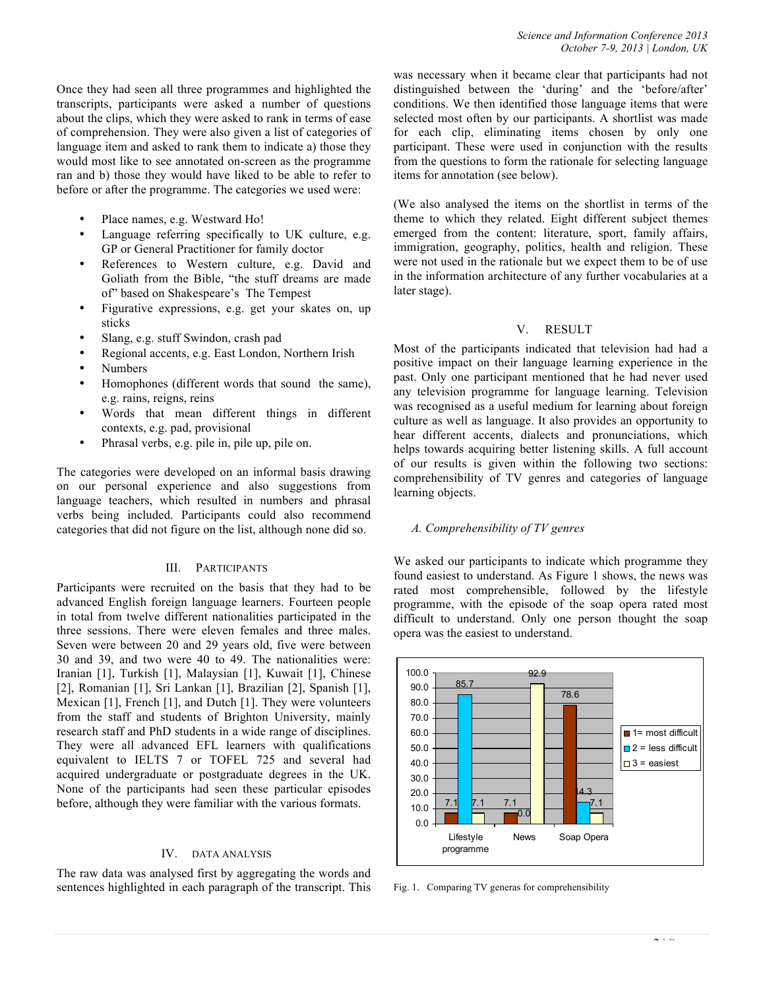Once they had seen all three programmes and highlighted the transcripts, participants were asked a number of questions about the clips, which they were asked to rank in terms of ease of comprehension. They were also given a list of categories of language item and asked to rank them to indicate a) those they would most like to see annotated on-screen as the programme ran and b) those they would have liked to be able to refer to before or after the programme. The categories we used were:

- Place names, e.g. Westward Ho!
- Language referring specifically to UK culture, e.g. GP or General Practitioner for family doctor
- References to Western culture, e.g. David and Goliath from the Bible, "the stuff dreams are made of" based on Shakespeare's The Tempest
- Figurative expressions, e.g. get your skates on, up sticks
- Slang, e.g. stuff Swindon, crash pad
- Regional accents, e.g. East London, Northern Irish
- Numbers
- Homophones (different words that sound the same), e.g. rains, reigns, reins
- Words that mean different things in different contexts, e.g. pad, provisional
- Phrasal verbs, e.g. pile in, pile up, pile on.

The categories were developed on an informal basis drawing on our personal experience and also suggestions from language teachers, which resulted in numbers and phrasal verbs being included. Participants could also recommend categories that did not figure on the list, although none did so.

# III. PARTICIPANTS

Participants were recruited on the basis that they had to be advanced English foreign language learners. Fourteen people in total from twelve different nationalities participated in the three sessions. There were eleven females and three males. Seven were between 20 and 29 years old, five were between 30 and 39, and two were 40 to 49. The nationalities were: Iranian [1], Turkish [1], Malaysian [1], Kuwait [1], Chinese [2], Romanian [1], Sri Lankan [1], Brazilian [2], Spanish [1], Mexican [1], French [1], and Dutch [1]. They were volunteers from the staff and students of Brighton University, mainly research staff and PhD students in a wide range of disciplines. They were all advanced EFL learners with qualifications equivalent to IELTS 7 or TOFEL 725 and several had acquired undergraduate or postgraduate degrees in the UK. None of the participants had seen these particular episodes before, although they were familiar with the various formats.

#### IV. DATA ANALYSIS

The raw data was analysed first by aggregating the words and sentences highlighted in each paragraph of the transcript. This was necessary when it became clear that participants had not distinguished between the 'during' and the 'before/after' conditions. We then identified those language items that were selected most often by our participants. A shortlist was made for each clip, eliminating items chosen by only one participant. These were used in conjunction with the results from the questions to form the rationale for selecting language items for annotation (see below).

(We also analysed the items on the shortlist in terms of the theme to which they related. Eight different subject themes emerged from the content: literature, sport, family affairs, immigration, geography, politics, health and religion. These were not used in the rationale but we expect them to be of use in the information architecture of any further vocabularies at a later stage).

# V. RESULT

Most of the participants indicated that television had had a positive impact on their language learning experience in the past. Only one participant mentioned that he had never used any television programme for language learning. Television was recognised as a useful medium for learning about foreign culture as well as language. It also provides an opportunity to hear different accents, dialects and pronunciations, which helps towards acquiring better listening skills. A full account of our results is given within the following two sections: comprehensibility of TV genres and categories of language learning objects.

#### *A. Comprehensibility of TV genres*

We asked our participants to indicate which programme they found easiest to understand. As Figure 1 shows, the news was rated most comprehensible, followed by the lifestyle programme, with the episode of the soap opera rated most difficult to understand. Only one person thought the soap opera was the easiest to understand.



Fig. 1. Comparing TV generas for comprehensibility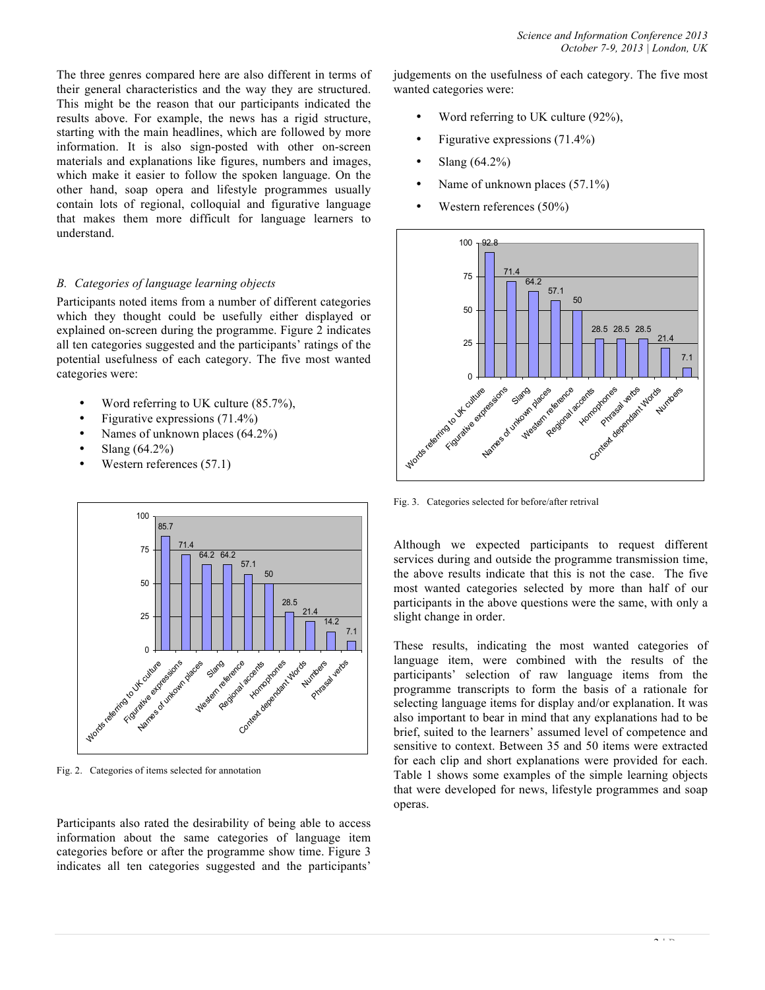The three genres compared here are also different in terms of their general characteristics and the way they are structured. This might be the reason that our participants indicated the results above. For example, the news has a rigid structure, starting with the main headlines, which are followed by more information. It is also sign-posted with other on-screen materials and explanations like figures, numbers and images, which make it easier to follow the spoken language. On the other hand, soap opera and lifestyle programmes usually contain lots of regional, colloquial and figurative language that makes them more difficult for language learners to understand.

#### *B. Categories of language learning objects*

Participants noted items from a number of different categories which they thought could be usefully either displayed or explained on-screen during the programme. Figure 2 indicates all ten categories suggested and the participants' ratings of the potential usefulness of each category. The five most wanted categories were:

- Word referring to UK culture (85.7%),
- Figurative expressions (71.4%)
- Names of unknown places (64.2%)
- Slang (64.2%)
- Western references (57.1)



Fig. 2. Categories of items selected for annotation

Participants also rated the desirability of being able to access information about the same categories of language item categories before or after the programme show time. Figure 3 indicates all ten categories suggested and the participants'

judgements on the usefulness of each category. The five most wanted categories were:

- Word referring to UK culture (92%),
- Figurative expressions (71.4%)
- Slang (64.2%)
- Name of unknown places (57.1%)
- Western references (50%)



Fig. 3. Categories selected for before/after retrival

Although we expected participants to request different services during and outside the programme transmission time, the above results indicate that this is not the case. The five most wanted categories selected by more than half of our participants in the above questions were the same, with only a slight change in order.

These results, indicating the most wanted categories of language item, were combined with the results of the participants' selection of raw language items from the programme transcripts to form the basis of a rationale for selecting language items for display and/or explanation. It was also important to bear in mind that any explanations had to be brief, suited to the learners' assumed level of competence and sensitive to context. Between 35 and 50 items were extracted for each clip and short explanations were provided for each. Table 1 shows some examples of the simple learning objects that were developed for news, lifestyle programmes and soap operas.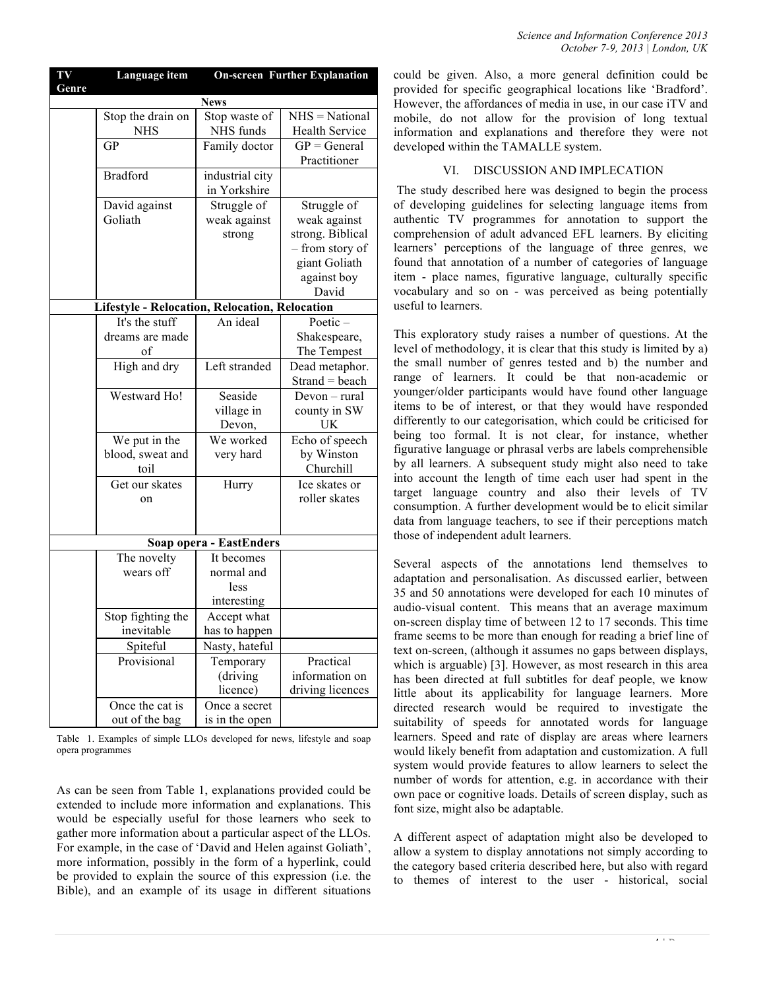| Genre           |                                 | <b>News</b>                                    |                                    |
|-----------------|---------------------------------|------------------------------------------------|------------------------------------|
|                 | Stop the drain on               | Stop waste of                                  | NHS = National                     |
|                 | <b>NHS</b>                      | NHS funds                                      | Health Service                     |
| GP              |                                 | Family doctor                                  | $GP = General$                     |
|                 |                                 |                                                | Practitioner                       |
| <b>Bradford</b> |                                 | industrial city                                |                                    |
|                 |                                 | in Yorkshire                                   |                                    |
|                 | David against                   | Struggle of                                    | Struggle of                        |
| Goliath         |                                 | weak against                                   | weak against                       |
|                 |                                 | strong                                         | strong. Biblical                   |
|                 |                                 |                                                | - from story of                    |
|                 |                                 |                                                | giant Goliath                      |
|                 |                                 |                                                | against boy                        |
|                 |                                 |                                                | David                              |
|                 |                                 | Lifestyle - Relocation, Relocation, Relocation |                                    |
|                 | It's the stuff                  | An ideal                                       | Poetic $-$                         |
|                 | dreams are made                 |                                                | Shakespeare,                       |
|                 | of                              |                                                | The Tempest                        |
|                 | High and dry                    | Left stranded                                  | Dead metaphor.                     |
|                 |                                 |                                                | $Strand = beach$                   |
|                 | Westward Ho!                    | Seaside                                        | Devon - rural                      |
|                 |                                 | village in                                     | county in SW                       |
|                 |                                 | Devon,                                         | UK                                 |
|                 | We put in the                   | We worked                                      | Echo of speech                     |
|                 | blood, sweat and                | very hard                                      | by Winston                         |
|                 | toil                            |                                                | Churchill                          |
|                 | Get our skates                  | Hurry                                          | Ice skates or                      |
|                 | on                              |                                                | roller skates                      |
|                 |                                 |                                                |                                    |
|                 |                                 |                                                |                                    |
|                 |                                 | Soap opera - EastEnders                        |                                    |
|                 | The novelty                     | It becomes                                     |                                    |
|                 | wears off                       | normal and                                     |                                    |
|                 |                                 | less                                           |                                    |
|                 |                                 | interesting                                    |                                    |
|                 | Stop fighting the<br>inevitable | Accept what                                    |                                    |
|                 |                                 | has to happen                                  |                                    |
|                 | Spiteful                        | Nasty, hateful                                 |                                    |
|                 | Provisional                     | Temporary                                      | Practical                          |
|                 |                                 | (driving                                       | information on<br>driving licences |
|                 | Once the cat is                 | licence)<br>Once a secret                      |                                    |
|                 | out of the bag                  | is in the open                                 |                                    |
|                 |                                 |                                                |                                    |

**Language item On-screen Further Explanation**

**TV** 

Table 1. Examples of simple LLOs developed for news, lifestyle and soap opera programmes

As can be seen from Table 1, explanations provided could be extended to include more information and explanations. This would be especially useful for those learners who seek to gather more information about a particular aspect of the LLOs. For example, in the case of 'David and Helen against Goliath', more information, possibly in the form of a hyperlink, could be provided to explain the source of this expression (i.e. the Bible), and an example of its usage in different situations

could be given. Also, a more general definition could be provided for specific geographical locations like 'Bradford'. owever, the affordances of media in use, in our case iTV and mobile, do not allow for the provision of long textual information and explanations and therefore they were not eveloped within the TAMALLE system.

# VI. DISCUSSION AND IMPLECATION

The study described here was designed to begin the process f developing guidelines for selecting language items from athentic TV programmes for annotation to support the comprehension of adult advanced EFL learners. By eliciting arners' perceptions of the language of three genres, we bound that annotation of a number of categories of language em - place names, figurative language, culturally specific pocabulary and so on - was perceived as being potentially seful to learners.

his exploratory study raises a number of questions. At the vel of methodology, it is clear that this study is limited by a) the small number of genres tested and b) the number and nge of learners. It could be that non-academic or bunger/older participants would have found other language ems to be of interest, or that they would have responded differently to our categorisation, which could be criticised for being too formal. It is not clear, for instance, whether gurative language or phrasal verbs are labels comprehensible by all learners. A subsequent study might also need to take to account the length of time each user had spent in the rget language country and also their levels of TV posumption. A further development would be to elicit similar ata from language teachers, to see if their perceptions match tose of independent adult learners.

everal aspects of the annotations lend themselves to daptation and personalisation. As discussed earlier, between 35 and 50 annotations were developed for each 10 minutes of adio-visual content. This means that an average maximum n-screen display time of between 12 to 17 seconds. This time ame seems to be more than enough for reading a brief line of xt on-screen, (although it assumes no gaps between displays, hich is arguable) [3]. However, as most research in this area has been directed at full subtitles for deaf people, we know little about its applicability for language learners. More rected research would be required to investigate the itability of speeds for annotated words for language arners. Speed and rate of display are areas where learners would likely benefit from adaptation and customization. A full system would provide features to allow learners to select the number of words for attention, e.g. in accordance with their own pace or cognitive loads. Details of screen display, such as font size, might also be adaptable.

A different aspect of adaptation might also be developed to allow a system to display annotations not simply according to the category based criteria described here, but also with regard to themes of interest to the user - historical, social